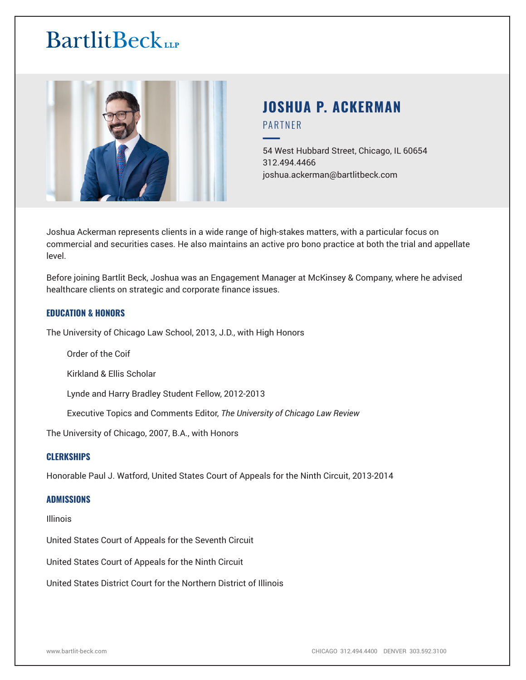

# **JOSHUA P. ACKERMAN** PARTNER

54 West Hubbard Street, Chicago, IL 60654 312.494.4466 joshua.ackerman@bartlitbeck.com

Joshua Ackerman represents clients in a wide range of high-stakes matters, with a particular focus on commercial and securities cases. He also maintains an active pro bono practice at both the trial and appellate level.

Before joining Bartlit Beck, Joshua was an Engagement Manager at McKinsey & Company, where he advised healthcare clients on strategic and corporate finance issues.

### **EDUCATION & HONORS**

The University of Chicago Law School, 2013, J.D., with High Honors

Order of the Coif

Kirkland & Ellis Scholar

Lynde and Harry Bradley Student Fellow, 2012-2013

Executive Topics and Comments Editor, *The University of Chicago Law Review*

The University of Chicago, 2007, B.A., with Honors

#### **CLERKSHIPS**

Honorable Paul J. Watford, United States Court of Appeals for the Ninth Circuit, 2013-2014

#### **ADMISSIONS**

Illinois

United States Court of Appeals for the Seventh Circuit

United States Court of Appeals for the Ninth Circuit

United States District Court for the Northern District of Illinois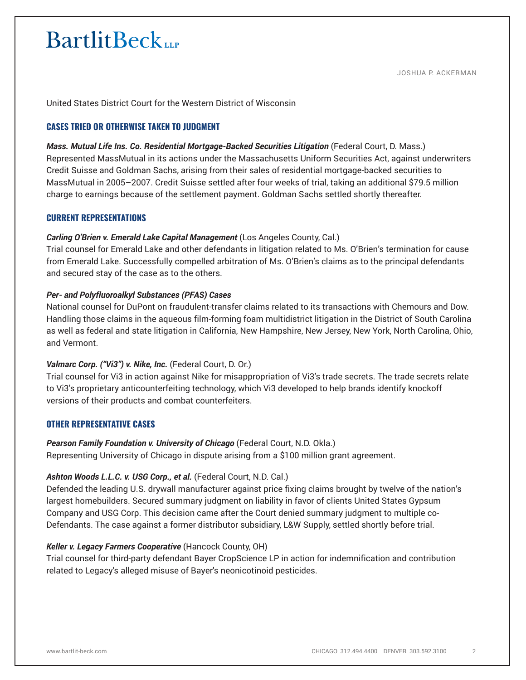JOSHUA P. ACKERMAN

United States District Court for the Western District of Wisconsin

## **CASES TRIED OR OTHERWISE TAKEN TO JUDGMENT**

#### *Mass. Mutual Life Ins. Co. Residential Mortgage-Backed Securities Litigation* (Federal Court, D. Mass.)

Represented MassMutual in its actions under the Massachusetts Uniform Securities Act, against underwriters Credit Suisse and Goldman Sachs, arising from their sales of residential mortgage-backed securities to MassMutual in 2005–2007. Credit Suisse settled after four weeks of trial, taking an additional \$79.5 million charge to earnings because of the settlement payment. Goldman Sachs settled shortly thereafter.

## **CURRENT REPRESENTATIONS**

### *Carling O'Brien v. Emerald Lake Capital Management* (Los Angeles County, Cal.)

Trial counsel for Emerald Lake and other defendants in litigation related to Ms. O'Brien's termination for cause from Emerald Lake. Successfully compelled arbitration of Ms. O'Brien's claims as to the principal defendants and secured stay of the case as to the others.

## *Per- and Polyfluoroalkyl Substances (PFAS) Cases*

National counsel for DuPont on fraudulent-transfer claims related to its transactions with Chemours and Dow. Handling those claims in the aqueous film-forming foam multidistrict litigation in the District of South Carolina as well as federal and state litigation in California, New Hampshire, New Jersey, New York, North Carolina, Ohio, and Vermont.

### *Valmarc Corp. ("Vi3") v. Nike, Inc.* (Federal Court, D. Or.)

Trial counsel for Vi3 in action against Nike for misappropriation of Vi3's trade secrets. The trade secrets relate to Vi3's proprietary anticounterfeiting technology, which Vi3 developed to help brands identify knockoff versions of their products and combat counterfeiters.

### **OTHER REPRESENTATIVE CASES**

### **Pearson Family Foundation v. University of Chicago** (Federal Court, N.D. Okla.)

Representing University of Chicago in dispute arising from a \$100 million grant agreement.

### *Ashton Woods L.L.C. v. USG Corp., et al.* (Federal Court, N.D. Cal.)

Defended the leading U.S. drywall manufacturer against price fixing claims brought by twelve of the nation's largest homebuilders. Secured summary judgment on liability in favor of clients United States Gypsum Company and USG Corp. This decision came after the Court denied summary judgment to multiple co-Defendants. The case against a former distributor subsidiary, L&W Supply, settled shortly before trial.

### *Keller v. Legacy Farmers Cooperative* (Hancock County, OH)

Trial counsel for third-party defendant Bayer CropScience LP in action for indemnification and contribution related to Legacy's alleged misuse of Bayer's neonicotinoid pesticides.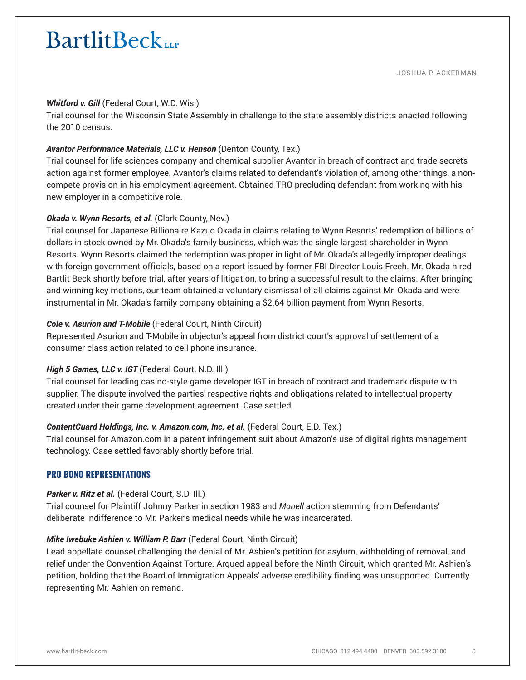#### *Whitford v. Gill* (Federal Court, W.D. Wis.)

Trial counsel for the Wisconsin State Assembly in challenge to the state assembly districts enacted following the 2010 census.

### *Avantor Performance Materials, LLC v. Henson* (Denton County, Tex.)

Trial counsel for life sciences company and chemical supplier Avantor in breach of contract and trade secrets action against former employee. Avantor's claims related to defendant's violation of, among other things, a noncompete provision in his employment agreement. Obtained TRO precluding defendant from working with his new employer in a competitive role.

#### *Okada v. Wynn Resorts, et al.* (Clark County, Nev.)

Trial counsel for Japanese Billionaire Kazuo Okada in claims relating to Wynn Resorts' redemption of billions of dollars in stock owned by Mr. Okada's family business, which was the single largest shareholder in Wynn Resorts. Wynn Resorts claimed the redemption was proper in light of Mr. Okada's allegedly improper dealings with foreign government officials, based on a report issued by former FBI Director Louis Freeh. Mr. Okada hired Bartlit Beck shortly before trial, after years of litigation, to bring a successful result to the claims. After bringing and winning key motions, our team obtained a voluntary dismissal of all claims against Mr. Okada and were instrumental in Mr. Okada's family company obtaining a \$2.64 billion payment from Wynn Resorts.

#### *Cole v. Asurion and T-Mobile* (Federal Court, Ninth Circuit)

Represented Asurion and T-Mobile in objector's appeal from district court's approval of settlement of a consumer class action related to cell phone insurance.

#### *High 5 Games, LLC v. IGT* (Federal Court, N.D. Ill.)

Trial counsel for leading casino-style game developer IGT in breach of contract and trademark dispute with supplier. The dispute involved the parties' respective rights and obligations related to intellectual property created under their game development agreement. Case settled.

#### *ContentGuard Holdings, Inc. v. Amazon.com, Inc. et al.* (Federal Court, E.D. Tex.)

Trial counsel for Amazon.com in a patent infringement suit about Amazon's use of digital rights management technology. Case settled favorably shortly before trial.

#### **PRO BONO REPRESENTATIONS**

#### *Parker v. Ritz et al.* (Federal Court, S.D. Ill.)

Trial counsel for Plaintiff Johnny Parker in section 1983 and *Monell* action stemming from Defendants' deliberate indifference to Mr. Parker's medical needs while he was incarcerated.

### *Mike Iwebuke Ashien v. William P. Barr* (Federal Court, Ninth Circuit)

Lead appellate counsel challenging the denial of Mr. Ashien's petition for asylum, withholding of removal, and relief under the Convention Against Torture. Argued appeal before the Ninth Circuit, which granted Mr. Ashien's petition, holding that the Board of Immigration Appeals' adverse credibility finding was unsupported. Currently representing Mr. Ashien on remand.